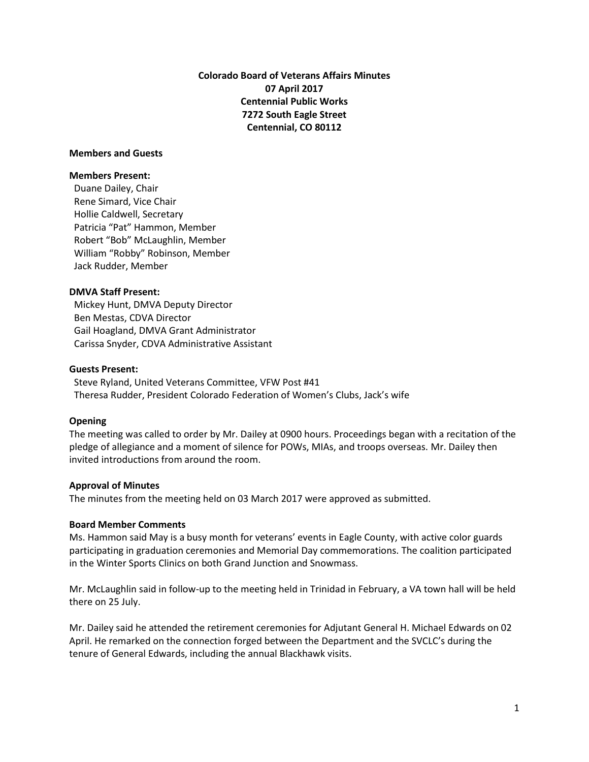**Colorado Board of Veterans Affairs Minutes 07 April 2017 Centennial Public Works 7272 South Eagle Street Centennial, CO 80112**

### **Members and Guests**

#### **Members Present:**

Duane Dailey, Chair Rene Simard, Vice Chair Hollie Caldwell, Secretary Patricia "Pat" Hammon, Member Robert "Bob" McLaughlin, Member William "Robby" Robinson, Member Jack Rudder, Member

#### **DMVA Staff Present:**

 Mickey Hunt, DMVA Deputy Director Ben Mestas, CDVA Director Gail Hoagland, DMVA Grant Administrator Carissa Snyder, CDVA Administrative Assistant

#### **Guests Present:**

Steve Ryland, United Veterans Committee, VFW Post #41 Theresa Rudder, President Colorado Federation of Women's Clubs, Jack's wife

# **Opening**

The meeting was called to order by Mr. Dailey at 0900 hours. Proceedings began with a recitation of the pledge of allegiance and a moment of silence for POWs, MIAs, and troops overseas. Mr. Dailey then invited introductions from around the room.

# **Approval of Minutes**

The minutes from the meeting held on 03 March 2017 were approved as submitted.

#### **Board Member Comments**

Ms. Hammon said May is a busy month for veterans' events in Eagle County, with active color guards participating in graduation ceremonies and Memorial Day commemorations. The coalition participated in the Winter Sports Clinics on both Grand Junction and Snowmass.

Mr. McLaughlin said in follow-up to the meeting held in Trinidad in February, a VA town hall will be held there on 25 July.

Mr. Dailey said he attended the retirement ceremonies for Adjutant General H. Michael Edwards on 02 April. He remarked on the connection forged between the Department and the SVCLC's during the tenure of General Edwards, including the annual Blackhawk visits.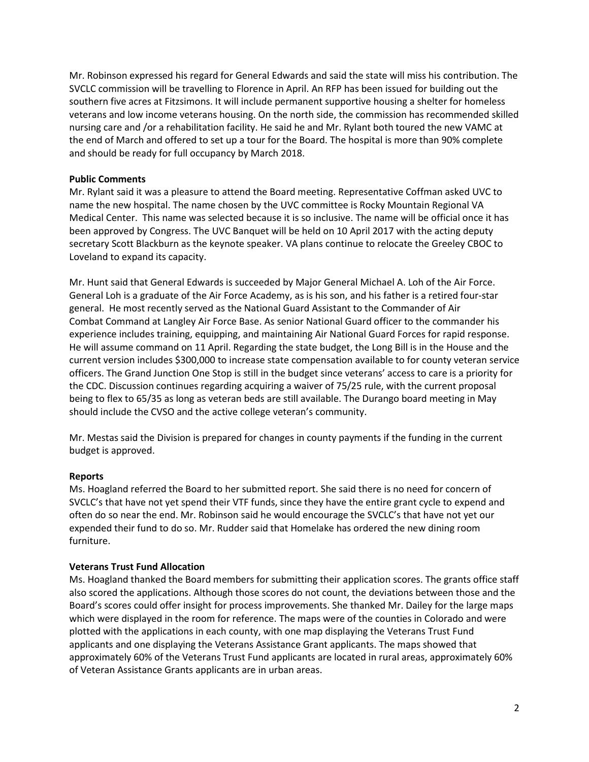Mr. Robinson expressed his regard for General Edwards and said the state will miss his contribution. The SVCLC commission will be travelling to Florence in April. An RFP has been issued for building out the southern five acres at Fitzsimons. It will include permanent supportive housing a shelter for homeless veterans and low income veterans housing. On the north side, the commission has recommended skilled nursing care and /or a rehabilitation facility. He said he and Mr. Rylant both toured the new VAMC at the end of March and offered to set up a tour for the Board. The hospital is more than 90% complete and should be ready for full occupancy by March 2018.

# **Public Comments**

Mr. Rylant said it was a pleasure to attend the Board meeting. Representative Coffman asked UVC to name the new hospital. The name chosen by the UVC committee is Rocky Mountain Regional VA Medical Center. This name was selected because it is so inclusive. The name will be official once it has been approved by Congress. The UVC Banquet will be held on 10 April 2017 with the acting deputy secretary Scott Blackburn as the keynote speaker. VA plans continue to relocate the Greeley CBOC to Loveland to expand its capacity.

Mr. Hunt said that General Edwards is succeeded by Major General Michael A. Loh of the Air Force. General Loh is a graduate of the Air Force Academy, as is his son, and his father is a retired four-star general. He most recently served as the National Guard Assistant to the Commander of Air Combat Command at Langley Air Force Base. As senior National Guard officer to the commander his experience includes training, equipping, and maintaining Air National Guard Forces for rapid response. He will assume command on 11 April. Regarding the state budget, the Long Bill is in the House and the current version includes \$300,000 to increase state compensation available to for county veteran service officers. The Grand Junction One Stop is still in the budget since veterans' access to care is a priority for the CDC. Discussion continues regarding acquiring a waiver of 75/25 rule, with the current proposal being to flex to 65/35 as long as veteran beds are still available. The Durango board meeting in May should include the CVSO and the active college veteran's community.

Mr. Mestas said the Division is prepared for changes in county payments if the funding in the current budget is approved.

# **Reports**

Ms. Hoagland referred the Board to her submitted report. She said there is no need for concern of SVCLC's that have not yet spend their VTF funds, since they have the entire grant cycle to expend and often do so near the end. Mr. Robinson said he would encourage the SVCLC's that have not yet our expended their fund to do so. Mr. Rudder said that Homelake has ordered the new dining room furniture.

# **Veterans Trust Fund Allocation**

Ms. Hoagland thanked the Board members for submitting their application scores. The grants office staff also scored the applications. Although those scores do not count, the deviations between those and the Board's scores could offer insight for process improvements. She thanked Mr. Dailey for the large maps which were displayed in the room for reference. The maps were of the counties in Colorado and were plotted with the applications in each county, with one map displaying the Veterans Trust Fund applicants and one displaying the Veterans Assistance Grant applicants. The maps showed that approximately 60% of the Veterans Trust Fund applicants are located in rural areas, approximately 60% of Veteran Assistance Grants applicants are in urban areas.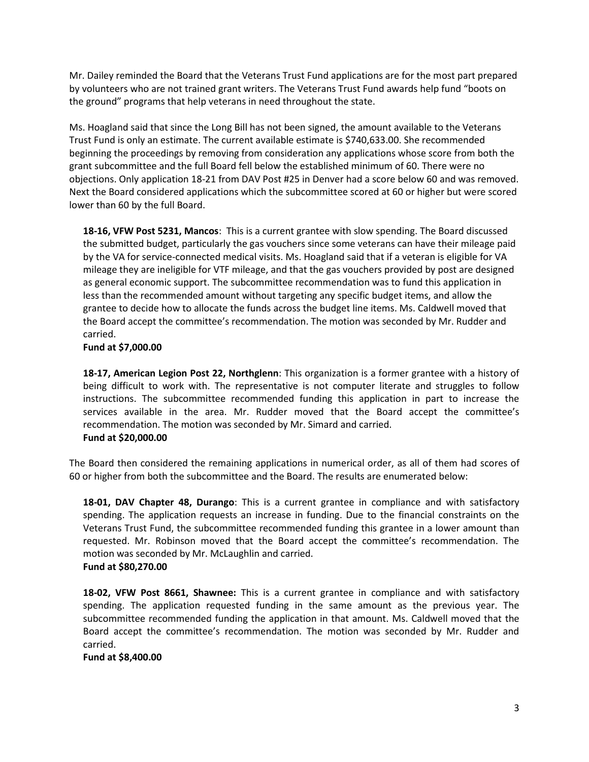Mr. Dailey reminded the Board that the Veterans Trust Fund applications are for the most part prepared by volunteers who are not trained grant writers. The Veterans Trust Fund awards help fund "boots on the ground" programs that help veterans in need throughout the state.

Ms. Hoagland said that since the Long Bill has not been signed, the amount available to the Veterans Trust Fund is only an estimate. The current available estimate is \$740,633.00. She recommended beginning the proceedings by removing from consideration any applications whose score from both the grant subcommittee and the full Board fell below the established minimum of 60. There were no objections. Only application 18-21 from DAV Post #25 in Denver had a score below 60 and was removed. Next the Board considered applications which the subcommittee scored at 60 or higher but were scored lower than 60 by the full Board.

**18-16, VFW Post 5231, Mancos**: This is a current grantee with slow spending. The Board discussed the submitted budget, particularly the gas vouchers since some veterans can have their mileage paid by the VA for service-connected medical visits. Ms. Hoagland said that if a veteran is eligible for VA mileage they are ineligible for VTF mileage, and that the gas vouchers provided by post are designed as general economic support. The subcommittee recommendation was to fund this application in less than the recommended amount without targeting any specific budget items, and allow the grantee to decide how to allocate the funds across the budget line items. Ms. Caldwell moved that the Board accept the committee's recommendation. The motion was seconded by Mr. Rudder and carried.

# **Fund at \$7,000.00**

**18-17, American Legion Post 22, Northglenn**: This organization is a former grantee with a history of being difficult to work with. The representative is not computer literate and struggles to follow instructions. The subcommittee recommended funding this application in part to increase the services available in the area. Mr. Rudder moved that the Board accept the committee's recommendation. The motion was seconded by Mr. Simard and carried. **Fund at \$20,000.00**

The Board then considered the remaining applications in numerical order, as all of them had scores of 60 or higher from both the subcommittee and the Board. The results are enumerated below:

**18-01, DAV Chapter 48, Durango**: This is a current grantee in compliance and with satisfactory spending. The application requests an increase in funding. Due to the financial constraints on the Veterans Trust Fund, the subcommittee recommended funding this grantee in a lower amount than requested. Mr. Robinson moved that the Board accept the committee's recommendation. The motion was seconded by Mr. McLaughlin and carried. **Fund at \$80,270.00**

**18-02, VFW Post 8661, Shawnee:** This is a current grantee in compliance and with satisfactory spending. The application requested funding in the same amount as the previous year. The subcommittee recommended funding the application in that amount. Ms. Caldwell moved that the Board accept the committee's recommendation. The motion was seconded by Mr. Rudder and carried.

**Fund at \$8,400.00**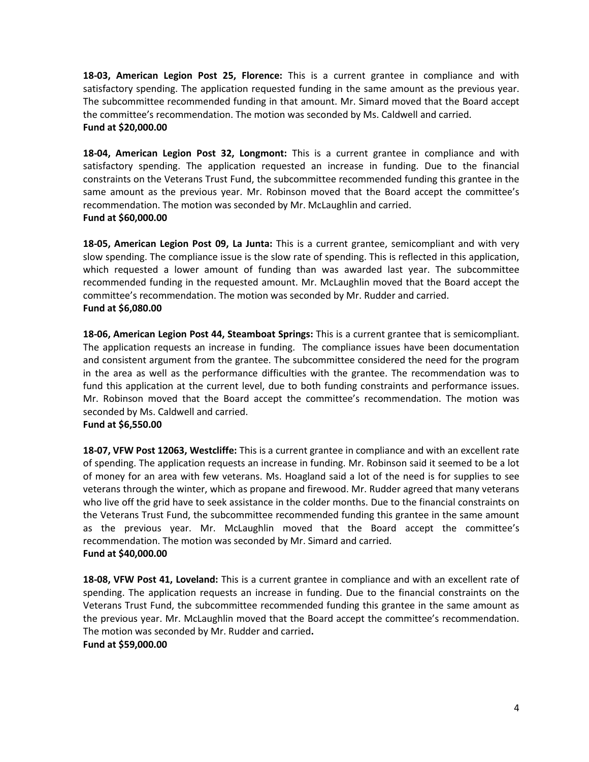**18-03, American Legion Post 25, Florence:** This is a current grantee in compliance and with satisfactory spending. The application requested funding in the same amount as the previous year. The subcommittee recommended funding in that amount. Mr. Simard moved that the Board accept the committee's recommendation. The motion was seconded by Ms. Caldwell and carried. **Fund at \$20,000.00**

**18-04, American Legion Post 32, Longmont:** This is a current grantee in compliance and with satisfactory spending. The application requested an increase in funding. Due to the financial constraints on the Veterans Trust Fund, the subcommittee recommended funding this grantee in the same amount as the previous year. Mr. Robinson moved that the Board accept the committee's recommendation. The motion was seconded by Mr. McLaughlin and carried. **Fund at \$60,000.00**

**18-05, American Legion Post 09, La Junta:** This is a current grantee, semicompliant and with very slow spending. The compliance issue is the slow rate of spending. This is reflected in this application, which requested a lower amount of funding than was awarded last year. The subcommittee recommended funding in the requested amount. Mr. McLaughlin moved that the Board accept the committee's recommendation. The motion was seconded by Mr. Rudder and carried. **Fund at \$6,080.00**

**18-06, American Legion Post 44, Steamboat Springs:** This is a current grantee that is semicompliant. The application requests an increase in funding. The compliance issues have been documentation and consistent argument from the grantee. The subcommittee considered the need for the program in the area as well as the performance difficulties with the grantee. The recommendation was to fund this application at the current level, due to both funding constraints and performance issues. Mr. Robinson moved that the Board accept the committee's recommendation. The motion was seconded by Ms. Caldwell and carried. **Fund at \$6,550.00**

**18-07, VFW Post 12063, Westcliffe:** This is a current grantee in compliance and with an excellent rate of spending. The application requests an increase in funding. Mr. Robinson said it seemed to be a lot of money for an area with few veterans. Ms. Hoagland said a lot of the need is for supplies to see veterans through the winter, which as propane and firewood. Mr. Rudder agreed that many veterans who live off the grid have to seek assistance in the colder months. Due to the financial constraints on the Veterans Trust Fund, the subcommittee recommended funding this grantee in the same amount as the previous year. Mr. McLaughlin moved that the Board accept the committee's recommendation. The motion was seconded by Mr. Simard and carried.

# **Fund at \$40,000.00**

**18-08, VFW Post 41, Loveland:** This is a current grantee in compliance and with an excellent rate of spending. The application requests an increase in funding. Due to the financial constraints on the Veterans Trust Fund, the subcommittee recommended funding this grantee in the same amount as the previous year. Mr. McLaughlin moved that the Board accept the committee's recommendation. The motion was seconded by Mr. Rudder and carried**.**

**Fund at \$59,000.00**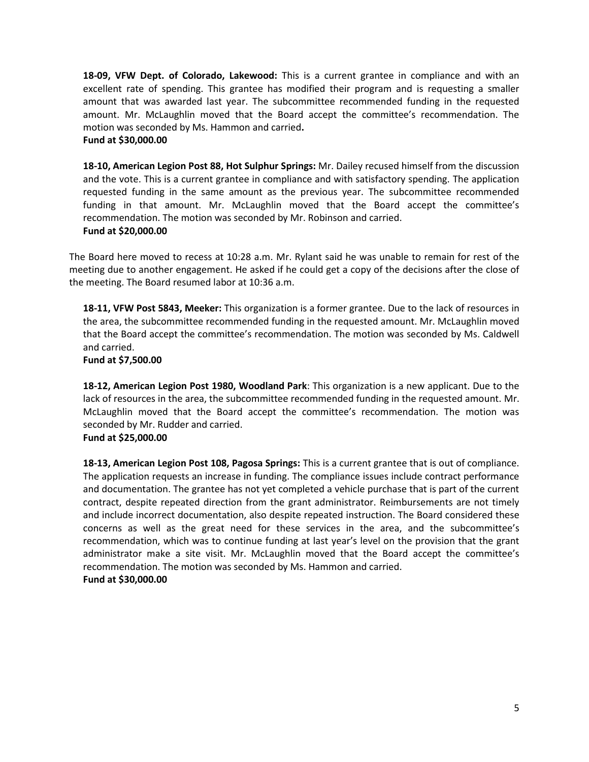**18-09, VFW Dept. of Colorado, Lakewood:** This is a current grantee in compliance and with an excellent rate of spending. This grantee has modified their program and is requesting a smaller amount that was awarded last year. The subcommittee recommended funding in the requested amount. Mr. McLaughlin moved that the Board accept the committee's recommendation. The motion was seconded by Ms. Hammon and carried**. Fund at \$30,000.00**

**18-10, American Legion Post 88, Hot Sulphur Springs:** Mr. Dailey recused himself from the discussion and the vote. This is a current grantee in compliance and with satisfactory spending. The application requested funding in the same amount as the previous year. The subcommittee recommended funding in that amount. Mr. McLaughlin moved that the Board accept the committee's recommendation. The motion was seconded by Mr. Robinson and carried. **Fund at \$20,000.00**

The Board here moved to recess at 10:28 a.m. Mr. Rylant said he was unable to remain for rest of the meeting due to another engagement. He asked if he could get a copy of the decisions after the close of the meeting. The Board resumed labor at 10:36 a.m.

**18-11, VFW Post 5843, Meeker:** This organization is a former grantee. Due to the lack of resources in the area, the subcommittee recommended funding in the requested amount. Mr. McLaughlin moved that the Board accept the committee's recommendation. The motion was seconded by Ms. Caldwell and carried.

**Fund at \$7,500.00**

**18-12, American Legion Post 1980, Woodland Park**: This organization is a new applicant. Due to the lack of resources in the area, the subcommittee recommended funding in the requested amount. Mr. McLaughlin moved that the Board accept the committee's recommendation. The motion was seconded by Mr. Rudder and carried.

**Fund at \$25,000.00**

**18-13, American Legion Post 108, Pagosa Springs:** This is a current grantee that is out of compliance. The application requests an increase in funding. The compliance issues include contract performance and documentation. The grantee has not yet completed a vehicle purchase that is part of the current contract, despite repeated direction from the grant administrator. Reimbursements are not timely and include incorrect documentation, also despite repeated instruction. The Board considered these concerns as well as the great need for these services in the area, and the subcommittee's recommendation, which was to continue funding at last year's level on the provision that the grant administrator make a site visit. Mr. McLaughlin moved that the Board accept the committee's recommendation. The motion was seconded by Ms. Hammon and carried. **Fund at \$30,000.00**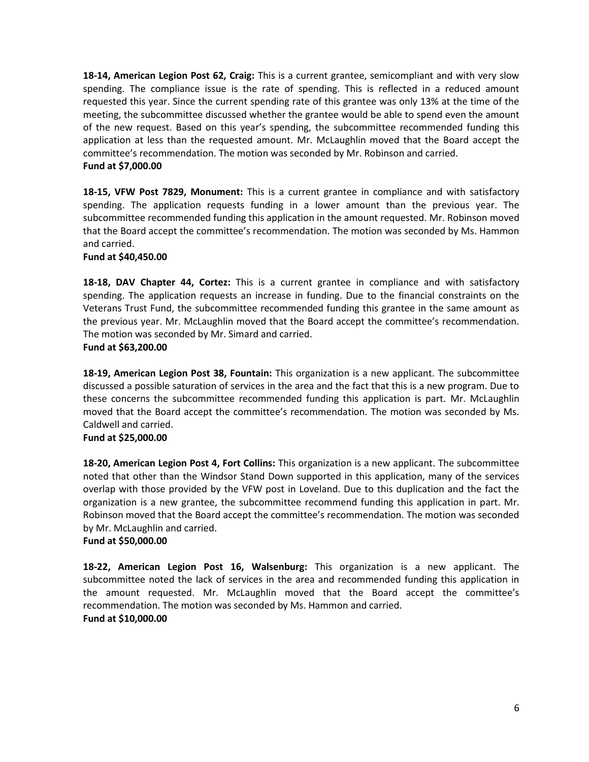**18-14, American Legion Post 62, Craig:** This is a current grantee, semicompliant and with very slow spending. The compliance issue is the rate of spending. This is reflected in a reduced amount requested this year. Since the current spending rate of this grantee was only 13% at the time of the meeting, the subcommittee discussed whether the grantee would be able to spend even the amount of the new request. Based on this year's spending, the subcommittee recommended funding this application at less than the requested amount. Mr. McLaughlin moved that the Board accept the committee's recommendation. The motion was seconded by Mr. Robinson and carried. **Fund at \$7,000.00**

**18-15, VFW Post 7829, Monument:** This is a current grantee in compliance and with satisfactory spending. The application requests funding in a lower amount than the previous year. The subcommittee recommended funding this application in the amount requested. Mr. Robinson moved that the Board accept the committee's recommendation. The motion was seconded by Ms. Hammon and carried.

**Fund at \$40,450.00**

**18-18, DAV Chapter 44, Cortez:** This is a current grantee in compliance and with satisfactory spending. The application requests an increase in funding. Due to the financial constraints on the Veterans Trust Fund, the subcommittee recommended funding this grantee in the same amount as the previous year. Mr. McLaughlin moved that the Board accept the committee's recommendation. The motion was seconded by Mr. Simard and carried.

#### **Fund at \$63,200.00**

**18-19, American Legion Post 38, Fountain:** This organization is a new applicant. The subcommittee discussed a possible saturation of services in the area and the fact that this is a new program. Due to these concerns the subcommittee recommended funding this application is part. Mr. McLaughlin moved that the Board accept the committee's recommendation. The motion was seconded by Ms. Caldwell and carried.

**Fund at \$25,000.00**

**18-20, American Legion Post 4, Fort Collins:** This organization is a new applicant. The subcommittee noted that other than the Windsor Stand Down supported in this application, many of the services overlap with those provided by the VFW post in Loveland. Due to this duplication and the fact the organization is a new grantee, the subcommittee recommend funding this application in part. Mr. Robinson moved that the Board accept the committee's recommendation. The motion was seconded by Mr. McLaughlin and carried.

# **Fund at \$50,000.00**

**18-22, American Legion Post 16, Walsenburg:** This organization is a new applicant. The subcommittee noted the lack of services in the area and recommended funding this application in the amount requested. Mr. McLaughlin moved that the Board accept the committee's recommendation. The motion was seconded by Ms. Hammon and carried. **Fund at \$10,000.00**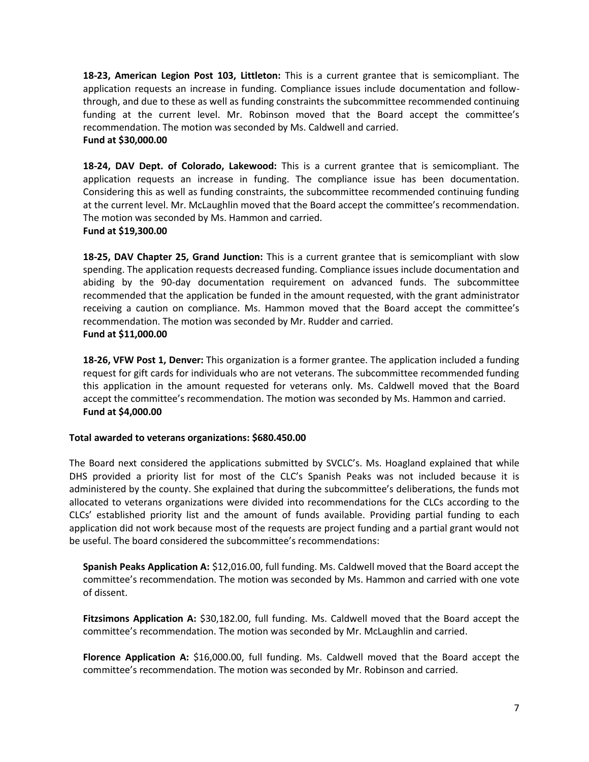**18-23, American Legion Post 103, Littleton:** This is a current grantee that is semicompliant. The application requests an increase in funding. Compliance issues include documentation and followthrough, and due to these as well as funding constraints the subcommittee recommended continuing funding at the current level. Mr. Robinson moved that the Board accept the committee's recommendation. The motion was seconded by Ms. Caldwell and carried. **Fund at \$30,000.00**

**18-24, DAV Dept. of Colorado, Lakewood:** This is a current grantee that is semicompliant. The application requests an increase in funding. The compliance issue has been documentation. Considering this as well as funding constraints, the subcommittee recommended continuing funding at the current level. Mr. McLaughlin moved that the Board accept the committee's recommendation. The motion was seconded by Ms. Hammon and carried. **Fund at \$19,300.00**

**18-25, DAV Chapter 25, Grand Junction:** This is a current grantee that is semicompliant with slow spending. The application requests decreased funding. Compliance issues include documentation and abiding by the 90-day documentation requirement on advanced funds. The subcommittee recommended that the application be funded in the amount requested, with the grant administrator receiving a caution on compliance. Ms. Hammon moved that the Board accept the committee's recommendation. The motion was seconded by Mr. Rudder and carried. **Fund at \$11,000.00**

**18-26, VFW Post 1, Denver:** This organization is a former grantee. The application included a funding request for gift cards for individuals who are not veterans. The subcommittee recommended funding this application in the amount requested for veterans only. Ms. Caldwell moved that the Board accept the committee's recommendation. The motion was seconded by Ms. Hammon and carried. **Fund at \$4,000.00**

# **Total awarded to veterans organizations: \$680.450.00**

The Board next considered the applications submitted by SVCLC's. Ms. Hoagland explained that while DHS provided a priority list for most of the CLC's Spanish Peaks was not included because it is administered by the county. She explained that during the subcommittee's deliberations, the funds mot allocated to veterans organizations were divided into recommendations for the CLCs according to the CLCs' established priority list and the amount of funds available. Providing partial funding to each application did not work because most of the requests are project funding and a partial grant would not be useful. The board considered the subcommittee's recommendations:

**Spanish Peaks Application A:** \$12,016.00, full funding. Ms. Caldwell moved that the Board accept the committee's recommendation. The motion was seconded by Ms. Hammon and carried with one vote of dissent.

**Fitzsimons Application A:** \$30,182.00, full funding. Ms. Caldwell moved that the Board accept the committee's recommendation. The motion was seconded by Mr. McLaughlin and carried.

**Florence Application A:** \$16,000.00, full funding. Ms. Caldwell moved that the Board accept the committee's recommendation. The motion was seconded by Mr. Robinson and carried.